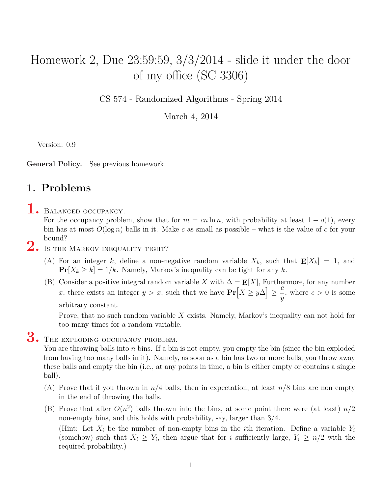### Homework 2, Due 23:59:59, 3/3/2014 - slide it under the door of my office (SC 3306)

CS 574 - Randomized Algorithms - Spring 2014

March 4, 2014

Version: 0.9

**General Policy.** See previous homework.

#### **1. Problems**

#### 1. BALANCED OCCUPANCY.

For the occupancy problem, show that for  $m = cn \ln n$ , with probability at least  $1 - o(1)$ , every bin has at most *O*(log *n*) balls in it. Make *c* as small as possible – what is the value of *c* for your bound?

# 2. Is the Markov inequality tight?

- (A) For an integer *k*, define a non-negative random variable  $X_k$ , such that  $E[X_k] = 1$ , and  $\Pr[X_k \ge k] = 1/k$ . Namely, Markov's inequality can be tight for any k.
- (B) Consider a positive integral random variable *X* with  $\Delta = \mathbf{E}[X]$ , Furthermore, for any number *x*, there exists an integer *y* > *x*, such that we have  $Pr[X \ge y\Delta]$ *≥ c y* , where  $c > 0$  is some arbitrary constant.

Prove, that <u>no</u> such random variable X exists. Namely, Markov's inequality can not hold for too many times for a random variable.

# 3. THE EXPLODING OCCUPANCY PROBLEM.

You are throwing balls into *n* bins. If a bin is not empty, you empty the bin (since the bin exploded from having too many balls in it). Namely, as soon as a bin has two or more balls, you throw away these balls and empty the bin (i.e., at any points in time, a bin is either empty or contains a single ball).

- (A) Prove that if you thrown in  $n/4$  balls, then in expectation, at least  $n/8$  bins are non empty in the end of throwing the balls.
- (B) Prove that after  $O(n^2)$  balls thrown into the bins, at some point there were (at least)  $n/2$ non-empty bins, and this holds with probability, say, larger than 3*/*4.

(Hint: Let  $X_i$  be the number of non-empty bins in the *i*th iteration. Define a variable  $Y_i$ (somehow) such that  $X_i \geq Y_i$ , then argue that for *i* sufficiently large,  $Y_i \geq n/2$  with the required probability.)